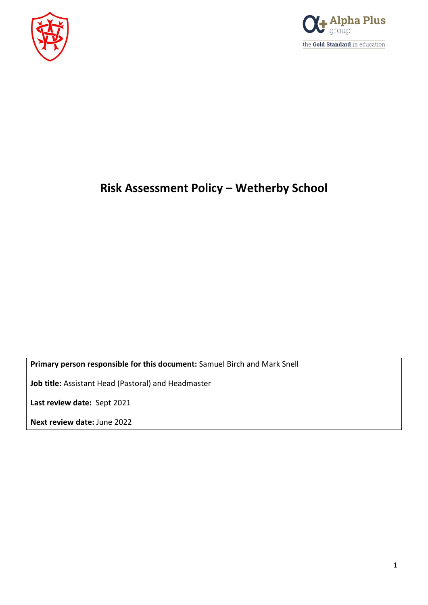



# **Risk Assessment Policy – Wetherby School**

**Primary person responsible for this document:** Samuel Birch and Mark Snell

**Job title:** Assistant Head (Pastoral) and Headmaster

**Last review date:** Sept 2021

**Next review date:** June 2022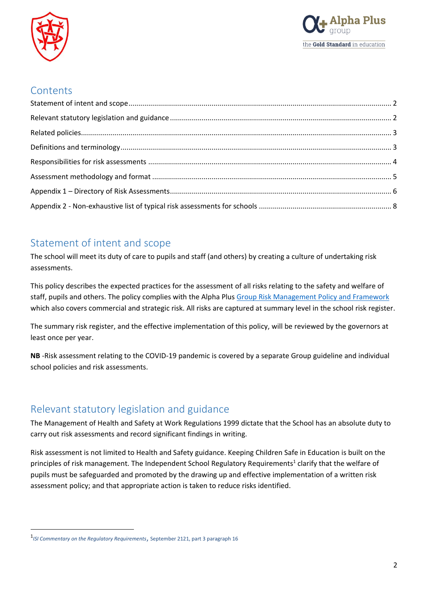



### **Contents**

### <span id="page-1-0"></span>Statement of intent and scope

The school will meet its duty of care to pupils and staff (and others) by creating a culture of undertaking risk assessments.

This policy describes the expected practices for the assessment of all risks relating to the safety and welfare of staff, pupils and others. The policy complies with the Alpha Plus [Group Risk Management Policy and](https://egiportal.alphaplusgroup.co.uk/Alpha%20Plus%20Group%20Information/Educational%20policy%20guidance%20and%20templates/Group%20Risk%20Assessment%20Policy%20and%20Framework.docx) Framework which also covers commercial and strategic risk. All risks are captured at summary level in the school risk register.

The summary risk register, and the effective implementation of this policy, will be reviewed by the governors at least once per year.

**NB** -Risk assessment relating to the COVID-19 pandemic is covered by a separate Group guideline and individual school policies and risk assessments.

### <span id="page-1-1"></span>Relevant statutory legislation and guidance

The Management of Health and Safety at Work Regulations 1999 dictate that the School has an absolute duty to carry out risk assessments and record significant findings in writing.

Risk assessment is not limited to Health and Safety guidance. Keeping Children Safe in Education is built on the principles of risk management. The Independent School Regulatory Requirements<sup>1</sup> clarify that the welfare of pupils must be safeguarded and promoted by the drawing up and effective implementation of a written risk assessment policy; and that appropriate action is taken to reduce risks identified.

 $\overline{a}$ 

<sup>1</sup> *ISI Commentary on the Regulatory Requirements*, September 2121, part 3 paragraph 16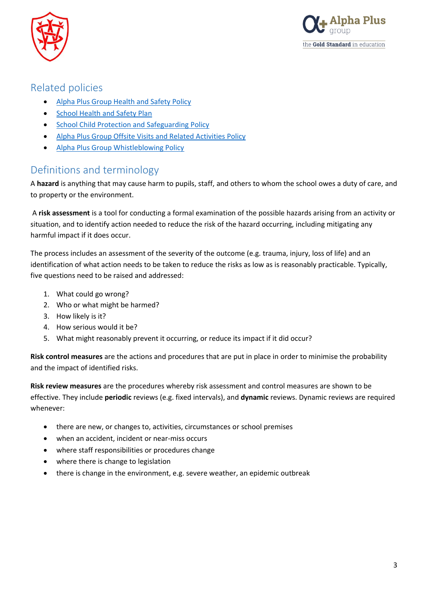



### <span id="page-2-0"></span>Related policies

- [Alpha Plus Group Health and Safety Policy](https://egiportal.alphaplusgroup.co.uk/Alpha%20Plus%20Group%20Information/Health%20and%20Safety/Policies/1.0%20Alpha%20Plus%20Group%20Health%20and%20Safety%20Policy%20V1.2%20June%202020%20(002).pdf)
- **•** [School Health and Safety Plan](https://egiportal.alphaplusgroup.co.uk/Institutions%20Policies/Wetherby%20Pre-Preparatory%20School/Wetherby%20Pre-Preparatory%20School-Health%20and%20Safety%20Plan-2020-2021.docx)
- [School Child Protection and Safeguarding Policy](https://egiportal.alphaplusgroup.co.uk/Institutions%20Policies/Wetherby%20Pre-Preparatory%20School/Wetherby%20Pre-Preparatory%20School-Safeguarding%20policy-2020-2021.docx)
- [Alpha Plus Group Offsite Visits and Related Activities Policy](https://egiportal.alphaplusgroup.co.uk/Alpha%20Plus%20Group%20Information/Educational%20policy%20guidance%20and%20templates/APG%20Educational%20Visits%20Guidance.docx)
- [Alpha Plus Group Whistleblowing Policy](https://egiportal.alphaplusgroup.co.uk/Alpha%20Plus%20Group%20Information/Ethical%20and%20professional%20conduct/Whistleblowing%20(Malpractice%20Disclosure)%20Policy.doc)

### <span id="page-2-1"></span>Definitions and terminology

A **hazard** is anything that may cause harm to pupils, staff, and others to whom the school owes a duty of care, and to property or the environment.

A **risk assessment** is a tool for conducting a formal examination of the possible hazards arising from an activity or situation, and to identify action needed to reduce the risk of the hazard occurring, including mitigating any harmful impact if it does occur.

The process includes an assessment of the severity of the outcome (e.g. trauma, injury, loss of life) and an identification of what action needs to be taken to reduce the risks as low as is reasonably practicable. Typically, five questions need to be raised and addressed:

- 1. What could go wrong?
- 2. Who or what might be harmed?
- 3. How likely is it?
- 4. How serious would it be?
- 5. What might reasonably prevent it occurring, or reduce its impact if it did occur?

**Risk control measures** are the actions and procedures that are put in place in order to minimise the probability and the impact of identified risks.

**Risk review measures** are the procedures whereby risk assessment and control measures are shown to be effective. They include **periodic** reviews (e.g. fixed intervals), and **dynamic** reviews. Dynamic reviews are required whenever:

- there are new, or changes to, activities, circumstances or school premises
- when an accident, incident or near-miss occurs
- where staff responsibilities or procedures change
- where there is change to legislation
- there is change in the environment, e.g. severe weather, an epidemic outbreak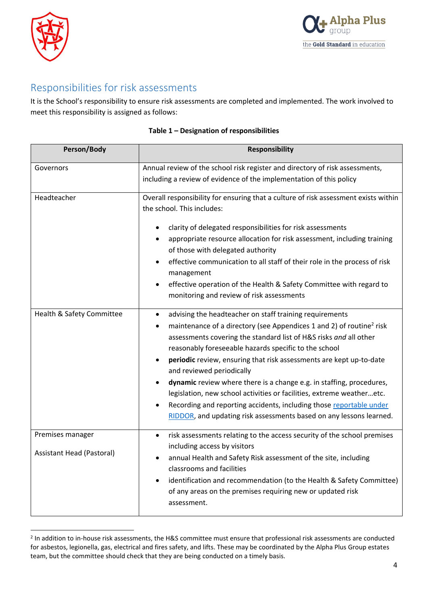

 $\overline{a}$ 



### <span id="page-3-0"></span>Responsibilities for risk assessments

It is the School's responsibility to ensure risk assessments are completed and implemented. The work involved to meet this responsibility is assigned as follows:

| Person/Body                                   | <b>Responsibility</b>                                                                                                                                                                                                                                                                                                                                                                                                                                                                                                                                                                                                                                                                     |
|-----------------------------------------------|-------------------------------------------------------------------------------------------------------------------------------------------------------------------------------------------------------------------------------------------------------------------------------------------------------------------------------------------------------------------------------------------------------------------------------------------------------------------------------------------------------------------------------------------------------------------------------------------------------------------------------------------------------------------------------------------|
| Governors                                     | Annual review of the school risk register and directory of risk assessments,<br>including a review of evidence of the implementation of this policy                                                                                                                                                                                                                                                                                                                                                                                                                                                                                                                                       |
| Headteacher                                   | Overall responsibility for ensuring that a culture of risk assessment exists within<br>the school. This includes:<br>clarity of delegated responsibilities for risk assessments<br>$\bullet$<br>appropriate resource allocation for risk assessment, including training<br>of those with delegated authority<br>effective communication to all staff of their role in the process of risk<br>management<br>effective operation of the Health & Safety Committee with regard to<br>monitoring and review of risk assessments                                                                                                                                                               |
| Health & Safety Committee                     | advising the headteacher on staff training requirements<br>$\bullet$<br>maintenance of a directory (see Appendices 1 and 2) of routine <sup>2</sup> risk<br>assessments covering the standard list of H&S risks and all other<br>reasonably foreseeable hazards specific to the school<br>periodic review, ensuring that risk assessments are kept up-to-date<br>and reviewed periodically<br>dynamic review where there is a change e.g. in staffing, procedures,<br>legislation, new school activities or facilities, extreme weatheretc.<br>Recording and reporting accidents, including those reportable under<br>RIDDOR, and updating risk assessments based on any lessons learned. |
| Premises manager<br>Assistant Head (Pastoral) | risk assessments relating to the access security of the school premises<br>$\bullet$<br>including access by visitors<br>annual Health and Safety Risk assessment of the site, including<br>$\bullet$<br>classrooms and facilities<br>identification and recommendation (to the Health & Safety Committee)<br>of any areas on the premises requiring new or updated risk<br>assessment.                                                                                                                                                                                                                                                                                                    |

### **Table 1 – Designation of responsibilities**

<sup>&</sup>lt;sup>2</sup> In addition to in-house risk assessments, the H&S committee must ensure that professional risk assessments are conducted for asbestos, legionella, gas, electrical and fires safety, and lifts. These may be coordinated by the Alpha Plus Group estates team, but the committee should check that they are being conducted on a timely basis.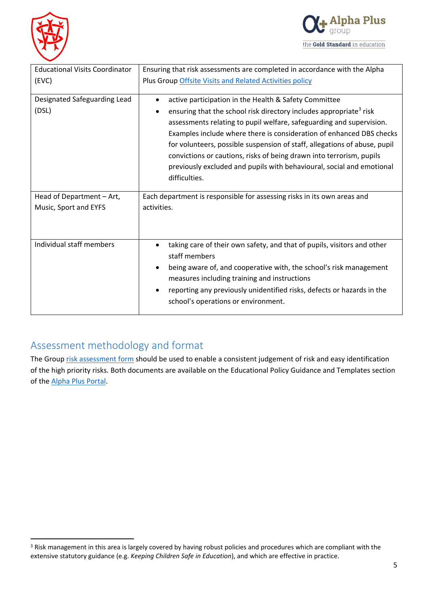

l



| <b>Educational Visits Coordinator</b> | Ensuring that risk assessments are completed in accordance with the Alpha                   |  |  |
|---------------------------------------|---------------------------------------------------------------------------------------------|--|--|
| (EVC)                                 | Plus Group Offsite Visits and Related Activities policy                                     |  |  |
|                                       |                                                                                             |  |  |
| Designated Safeguarding Lead          | active participation in the Health & Safety Committee                                       |  |  |
| (DSL)                                 | ensuring that the school risk directory includes appropriate <sup>3</sup> risk<br>$\bullet$ |  |  |
|                                       | assessments relating to pupil welfare, safeguarding and supervision.                        |  |  |
|                                       | Examples include where there is consideration of enhanced DBS checks                        |  |  |
|                                       | for volunteers, possible suspension of staff, allegations of abuse, pupil                   |  |  |
|                                       | convictions or cautions, risks of being drawn into terrorism, pupils                        |  |  |
|                                       | previously excluded and pupils with behavioural, social and emotional                       |  |  |
|                                       | difficulties.                                                                               |  |  |
|                                       |                                                                                             |  |  |
| Head of Department - Art,             | Each department is responsible for assessing risks in its own areas and                     |  |  |
|                                       |                                                                                             |  |  |
| Music, Sport and EYFS                 | activities.                                                                                 |  |  |
|                                       |                                                                                             |  |  |
|                                       |                                                                                             |  |  |
| Individual staff members              | taking care of their own safety, and that of pupils, visitors and other                     |  |  |
|                                       | staff members                                                                               |  |  |
|                                       | being aware of, and cooperative with, the school's risk management<br>$\bullet$             |  |  |
|                                       | measures including training and instructions                                                |  |  |
|                                       | reporting any previously unidentified risks, defects or hazards in the<br>$\bullet$         |  |  |
|                                       | school's operations or environment.                                                         |  |  |

## <span id="page-4-0"></span>Assessment methodology and format

The Group [risk assessment form](https://egiportal.alphaplusgroup.co.uk/Alpha%20Plus%20Group%20Information/Educational%20policy%20guidance%20and%20templates/Risk%20Assessment%20Template.docx) should be used to enable a consistent judgement of risk and easy identification of the high priority risks. Both documents are available on the Educational Policy Guidance and Templates section of the [Alpha Plus Portal.](https://egiportal.alphaplusgroup.co.uk/apg-info/Pages/educational-policy-guidance-templates.aspx)

<sup>&</sup>lt;sup>3</sup> Risk management in this area is largely covered by having robust policies and procedures which are compliant with the extensive statutory guidance (e.g. *Keeping Children Safe in Education*), and which are effective in practice.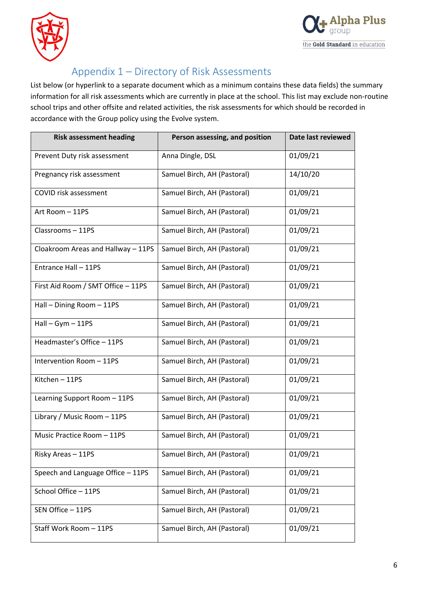



# <span id="page-5-0"></span>Appendix 1 – Directory of Risk Assessments

List below (or hyperlink to a separate document which as a minimum contains these data fields) the summary information for all risk assessments which are currently in place at the school. This list may exclude non-routine school trips and other offsite and related activities, the risk assessments for which should be recorded in accordance with the Group policy using the Evolve system.

| <b>Risk assessment heading</b>     | Person assessing, and position | Date last reviewed |
|------------------------------------|--------------------------------|--------------------|
| Prevent Duty risk assessment       | Anna Dingle, DSL               | 01/09/21           |
| Pregnancy risk assessment          | Samuel Birch, AH (Pastoral)    | 14/10/20           |
| COVID risk assessment              | Samuel Birch, AH (Pastoral)    | 01/09/21           |
| Art Room - 11PS                    | Samuel Birch, AH (Pastoral)    | 01/09/21           |
| Classrooms-11PS                    | Samuel Birch, AH (Pastoral)    | 01/09/21           |
| Cloakroom Areas and Hallway - 11PS | Samuel Birch, AH (Pastoral)    | 01/09/21           |
| Entrance Hall - 11PS               | Samuel Birch, AH (Pastoral)    | 01/09/21           |
| First Aid Room / SMT Office - 11PS | Samuel Birch, AH (Pastoral)    | 01/09/21           |
| Hall - Dining Room - 11PS          | Samuel Birch, AH (Pastoral)    | 01/09/21           |
| $Hall - Gym - 11PS$                | Samuel Birch, AH (Pastoral)    | 01/09/21           |
| Headmaster's Office - 11PS         | Samuel Birch, AH (Pastoral)    | 01/09/21           |
| Intervention Room - 11PS           | Samuel Birch, AH (Pastoral)    | 01/09/21           |
| Kitchen - 11PS                     | Samuel Birch, AH (Pastoral)    | 01/09/21           |
| Learning Support Room - 11PS       | Samuel Birch, AH (Pastoral)    | 01/09/21           |
| Library / Music Room - 11PS        | Samuel Birch, AH (Pastoral)    | 01/09/21           |
| Music Practice Room - 11PS         | Samuel Birch, AH (Pastoral)    | 01/09/21           |
| Risky Areas - 11PS                 | Samuel Birch, AH (Pastoral)    | 01/09/21           |
| Speech and Language Office - 11PS  | Samuel Birch, AH (Pastoral)    | 01/09/21           |
| School Office - 11PS               | Samuel Birch, AH (Pastoral)    | 01/09/21           |
| SEN Office - 11PS                  | Samuel Birch, AH (Pastoral)    | 01/09/21           |
| Staff Work Room - 11PS             | Samuel Birch, AH (Pastoral)    | 01/09/21           |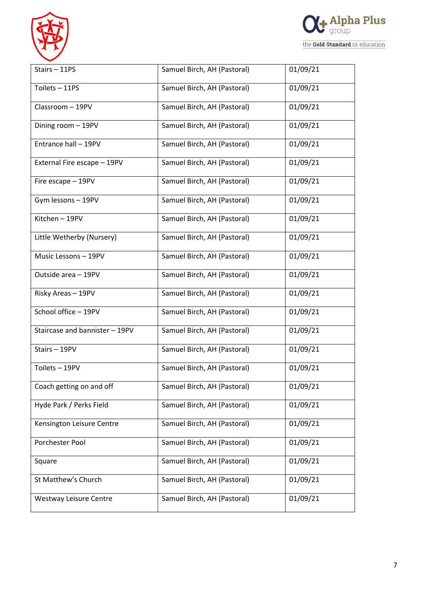



| Stairs-11PS                    | Samuel Birch, AH (Pastoral) | 01/09/21 |
|--------------------------------|-----------------------------|----------|
| Toilets - 11PS                 | Samuel Birch, AH (Pastoral) | 01/09/21 |
| Classroom - 19PV               | Samuel Birch, AH (Pastoral) | 01/09/21 |
| Dining room - 19PV             | Samuel Birch, AH (Pastoral) | 01/09/21 |
| Entrance hall - 19PV           | Samuel Birch, AH (Pastoral) | 01/09/21 |
| External Fire escape - 19PV    | Samuel Birch, AH (Pastoral) | 01/09/21 |
| Fire escape - 19PV             | Samuel Birch, AH (Pastoral) | 01/09/21 |
| Gym lessons - 19PV             | Samuel Birch, AH (Pastoral) | 01/09/21 |
| Kitchen - 19PV                 | Samuel Birch, AH (Pastoral) | 01/09/21 |
| Little Wetherby (Nursery)      | Samuel Birch, AH (Pastoral) | 01/09/21 |
| Music Lessons - 19PV           | Samuel Birch, AH (Pastoral) | 01/09/21 |
| Outside area - 19PV            | Samuel Birch, AH (Pastoral) | 01/09/21 |
| Risky Areas - 19PV             | Samuel Birch, AH (Pastoral) | 01/09/21 |
| School office - 19PV           | Samuel Birch, AH (Pastoral) | 01/09/21 |
| Staircase and bannister - 19PV | Samuel Birch, AH (Pastoral) | 01/09/21 |
| Stairs-19PV                    | Samuel Birch, AH (Pastoral) | 01/09/21 |
| Toilets - 19PV                 | Samuel Birch, AH (Pastoral) | 01/09/21 |
| Coach getting on and off       | Samuel Birch, AH (Pastoral) | 01/09/21 |
| Hyde Park / Perks Field        | Samuel Birch, AH (Pastoral) | 01/09/21 |
| Kensington Leisure Centre      | Samuel Birch, AH (Pastoral) | 01/09/21 |
| Porchester Pool                | Samuel Birch, AH (Pastoral) | 01/09/21 |
| Square                         | Samuel Birch, AH (Pastoral) | 01/09/21 |
| St Matthew's Church            | Samuel Birch, AH (Pastoral) | 01/09/21 |
| Westway Leisure Centre         | Samuel Birch, AH (Pastoral) | 01/09/21 |